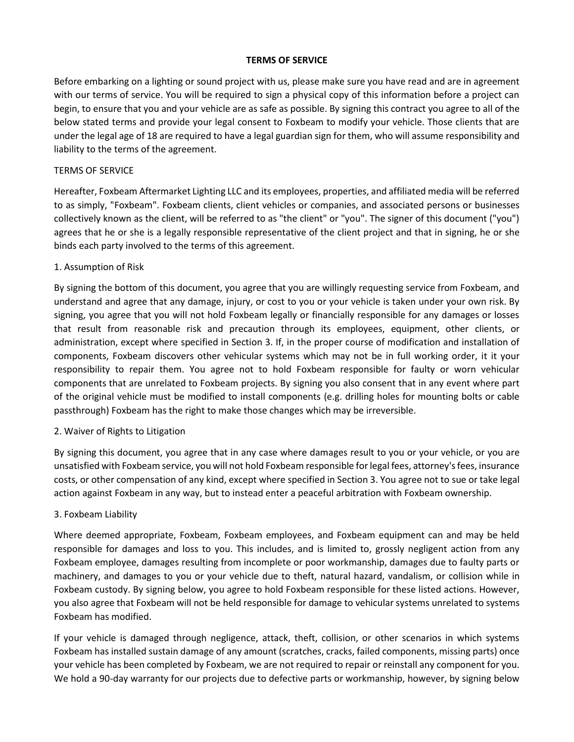### **TERMS OF SERVICE**

Before embarking on a lighting or sound project with us, please make sure you have read and are in agreement with our terms of service. You will be required to sign a physical copy of this information before a project can begin, to ensure that you and your vehicle are as safe as possible. By signing this contract you agree to all of the below stated terms and provide your legal consent to Foxbeam to modify your vehicle. Those clients that are under the legal age of 18 are required to have a legal guardian sign for them, who will assume responsibility and liability to the terms of the agreement.

### TERMS OF SERVICE

Hereafter, Foxbeam Aftermarket Lighting LLC and its employees, properties, and affiliated media will be referred to as simply, "Foxbeam". Foxbeam clients, client vehicles or companies, and associated persons or businesses collectively known as the client, will be referred to as "the client" or "you". The signer of this document ("you") agrees that he or she is a legally responsible representative of the client project and that in signing, he or she binds each party involved to the terms of this agreement.

### 1. Assumption of Risk

By signing the bottom of this document, you agree that you are willingly requesting service from Foxbeam, and understand and agree that any damage, injury, or cost to you or your vehicle is taken under your own risk. By signing, you agree that you will not hold Foxbeam legally or financially responsible for any damages or losses that result from reasonable risk and precaution through its employees, equipment, other clients, or administration, except where specified in Section 3. If, in the proper course of modification and installation of components, Foxbeam discovers other vehicular systems which may not be in full working order, it it your responsibility to repair them. You agree not to hold Foxbeam responsible for faulty or worn vehicular components that are unrelated to Foxbeam projects. By signing you also consent that in any event where part of the original vehicle must be modified to install components (e.g. drilling holes for mounting bolts or cable passthrough) Foxbeam has the right to make those changes which may be irreversible.

### 2. Waiver of Rights to Litigation

By signing this document, you agree that in any case where damages result to you or your vehicle, or you are unsatisfied with Foxbeam service, you will not hold Foxbeam responsible for legal fees, attorney's fees, insurance costs, or other compensation of any kind, except where specified in Section 3. You agree not to sue or take legal action against Foxbeam in any way, but to instead enter a peaceful arbitration with Foxbeam ownership.

#### 3. Foxbeam Liability

Where deemed appropriate, Foxbeam, Foxbeam employees, and Foxbeam equipment can and may be held responsible for damages and loss to you. This includes, and is limited to, grossly negligent action from any Foxbeam employee, damages resulting from incomplete or poor workmanship, damages due to faulty parts or machinery, and damages to you or your vehicle due to theft, natural hazard, vandalism, or collision while in Foxbeam custody. By signing below, you agree to hold Foxbeam responsible for these listed actions. However, you also agree that Foxbeam will not be held responsible for damage to vehicular systems unrelated to systems Foxbeam has modified.

If your vehicle is damaged through negligence, attack, theft, collision, or other scenarios in which systems Foxbeam has installed sustain damage of any amount (scratches, cracks, failed components, missing parts) once your vehicle has been completed by Foxbeam, we are not required to repair or reinstall any component for you. We hold a 90-day warranty for our projects due to defective parts or workmanship, however, by signing below